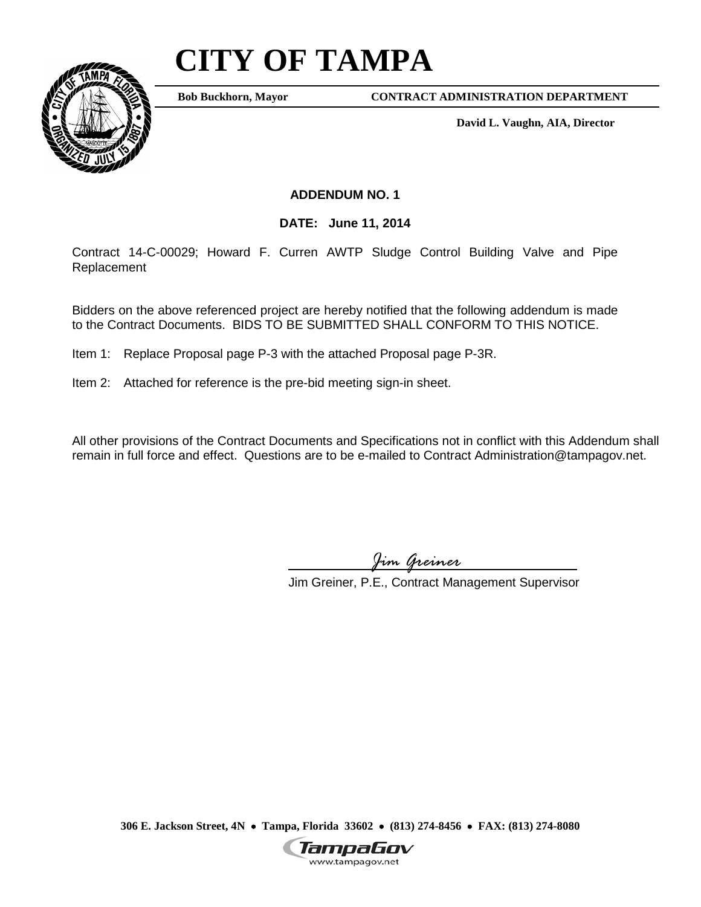## **CITY OF TAMPA**



**Bob Buckhorn, Mayor**

**CONTRACT ADMINISTRATION DEPARTMENT**

**David L. Vaughn, AIA, Director**

## **ADDENDUM NO. 1**

**DATE: June 11, 2014**

Contract 14-C-00029; Howard F. Curren AWTP Sludge Control Building Valve and Pipe Replacement

Bidders on the above referenced project are hereby notified that the following addendum is made to the Contract Documents. BIDS TO BE SUBMITTED SHALL CONFORM TO THIS NOTICE.

Item 1: Replace Proposal page P-3 with the attached Proposal page P-3R.

Item 2: Attached for reference is the pre-bid meeting sign-in sheet.

All other provisions of the Contract Documents and Specifications not in conflict with this Addendum shall remain in full force and effect. Questions are to be e-mailed to Contract Administration@tampagov.net.

*Jim Greiner*

Jim Greiner, P.E., Contract Management Supervisor

**306 E. Jackson Street, 4N** • **Tampa, Florida 33602** • **(813) 274-8456** • **FAX: (813) 274-8080**

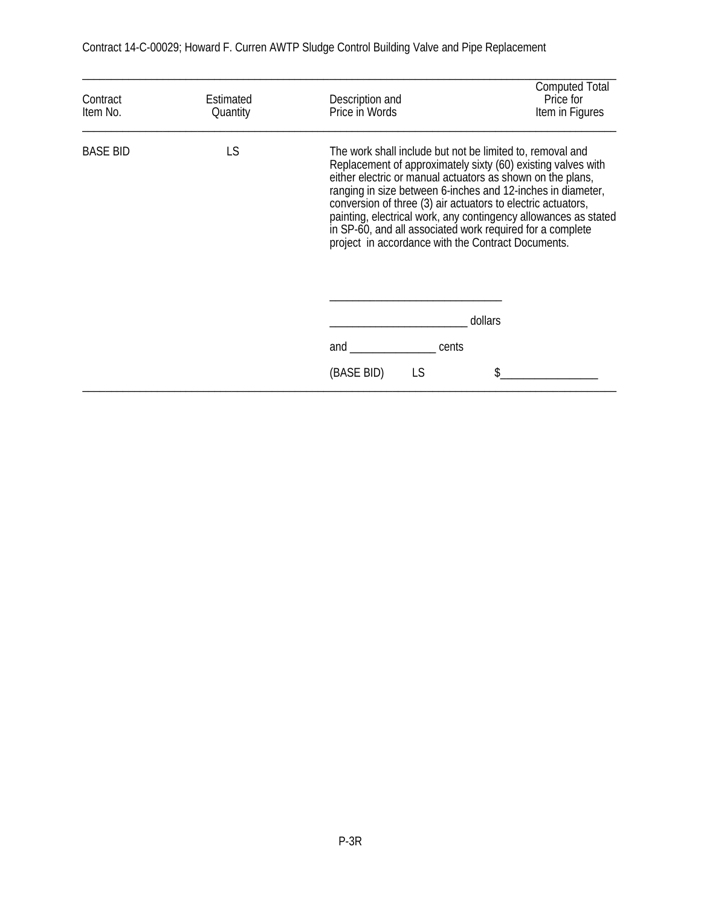| Contract<br>Item No. | Estimated<br>Quantity | Description and<br>Price in Words | <b>Computed Total</b><br>Price for<br>Item in Figures                                                                                                                                                                                                                                                                                                                                                                                                                                                        |  |
|----------------------|-----------------------|-----------------------------------|--------------------------------------------------------------------------------------------------------------------------------------------------------------------------------------------------------------------------------------------------------------------------------------------------------------------------------------------------------------------------------------------------------------------------------------------------------------------------------------------------------------|--|
| <b>BASE BID</b>      | LS                    |                                   | The work shall include but not be limited to, removal and<br>Replacement of approximately sixty (60) existing valves with<br>either electric or manual actuators as shown on the plans,<br>ranging in size between 6-inches and 12-inches in diameter,<br>conversion of three (3) air actuators to electric actuators,<br>painting, electrical work, any contingency allowances as stated<br>in SP-60, and all associated work required for a complete<br>project in accordance with the Contract Documents. |  |
|                      |                       |                                   | dollars                                                                                                                                                                                                                                                                                                                                                                                                                                                                                                      |  |
|                      |                       | and<br>cents                      |                                                                                                                                                                                                                                                                                                                                                                                                                                                                                                              |  |
|                      |                       | (BASE BID)<br>LS                  |                                                                                                                                                                                                                                                                                                                                                                                                                                                                                                              |  |

Contract 14-C-00029; Howard F. Curren AWTP Sludge Control Building Valve and Pipe Replacement